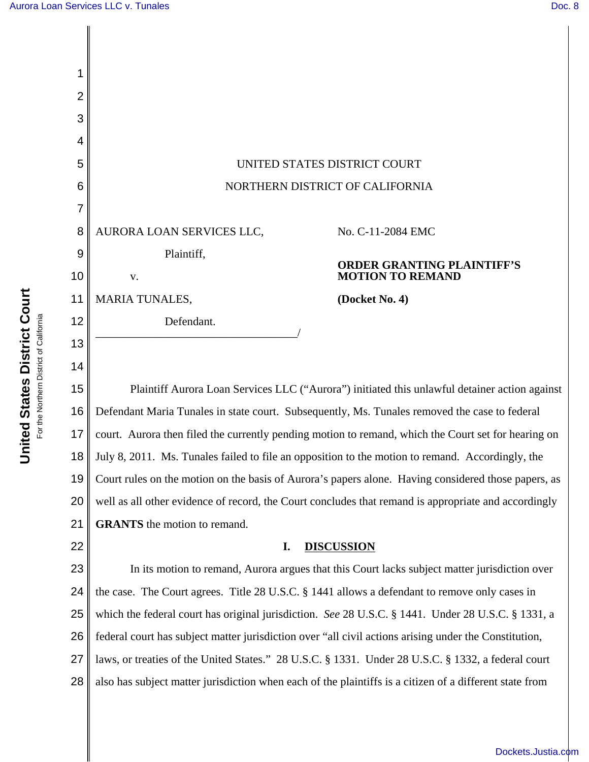| 1  |                                                                                                         |                                   |
|----|---------------------------------------------------------------------------------------------------------|-----------------------------------|
| 2  |                                                                                                         |                                   |
| 3  |                                                                                                         |                                   |
| 4  |                                                                                                         |                                   |
| 5  | UNITED STATES DISTRICT COURT                                                                            |                                   |
| 6  | NORTHERN DISTRICT OF CALIFORNIA                                                                         |                                   |
| 7  |                                                                                                         |                                   |
| 8  | AURORA LOAN SERVICES LLC,                                                                               | No. C-11-2084 EMC                 |
| 9  | Plaintiff,                                                                                              | <b>ORDER GRANTING PLAINTIFF'S</b> |
| 10 | V.                                                                                                      | <b>MOTION TO REMAND</b>           |
| 11 | <b>MARIA TUNALES,</b>                                                                                   | (Docket No. 4)                    |
| 12 | Defendant.                                                                                              |                                   |
| 13 |                                                                                                         |                                   |
| 14 |                                                                                                         |                                   |
| 15 | Plaintiff Aurora Loan Services LLC ("Aurora") initiated this unlawful detainer action against           |                                   |
| 16 | Defendant Maria Tunales in state court. Subsequently, Ms. Tunales removed the case to federal           |                                   |
| 17 | court. Aurora then filed the currently pending motion to remand, which the Court set for hearing on     |                                   |
| 18 | July 8, 2011. Ms. Tunales failed to file an opposition to the motion to remand. Accordingly, the        |                                   |
| 19 | Court rules on the motion on the basis of Aurora's papers alone. Having considered those papers, as     |                                   |
| 20 | well as all other evidence of record, the Court concludes that remand is appropriate and accordingly    |                                   |
| 21 | <b>GRANTS</b> the motion to remand.                                                                     |                                   |
| 22 | <b>DISCUSSION</b><br>I.                                                                                 |                                   |
| 23 | In its motion to remand, Aurora argues that this Court lacks subject matter jurisdiction over           |                                   |
| 24 | the case. The Court agrees. Title 28 U.S.C. § 1441 allows a defendant to remove only cases in           |                                   |
| 25 | which the federal court has original jurisdiction. See 28 U.S.C. § 1441. Under 28 U.S.C. § 1331, a      |                                   |
| 26 | federal court has subject matter jurisdiction over "all civil actions arising under the Constitution,   |                                   |
| 27 | laws, or treaties of the United States." 28 U.S.C. § 1331. Under 28 U.S.C. § 1332, a federal court      |                                   |
| 28 | also has subject matter jurisdiction when each of the plaintiffs is a citizen of a different state from |                                   |

[Dockets.Justia.com](http://dockets.justia.com/)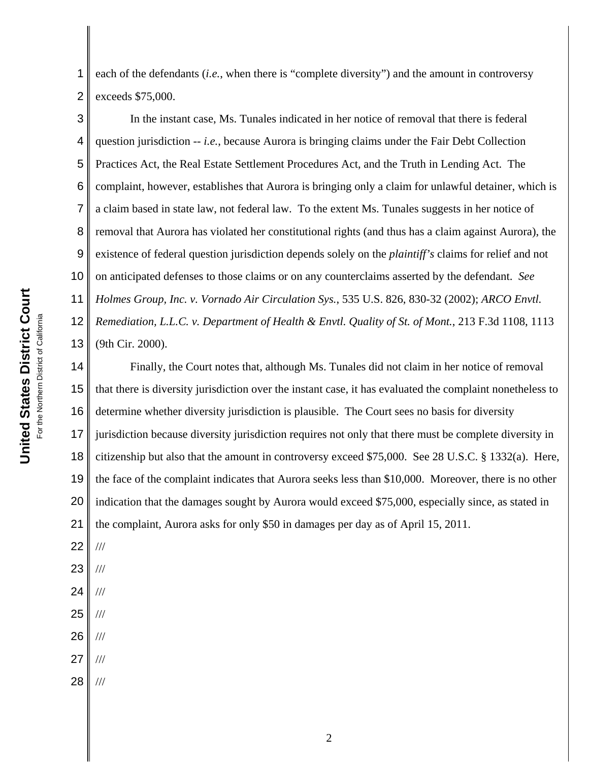1 2 each of the defendants (*i.e.*, when there is "complete diversity") and the amount in controversy exceeds \$75,000.

3 4 5 6 7 8 9 10 11 12 13 In the instant case, Ms. Tunales indicated in her notice of removal that there is federal question jurisdiction -- *i.e.*, because Aurora is bringing claims under the Fair Debt Collection Practices Act, the Real Estate Settlement Procedures Act, and the Truth in Lending Act. The complaint, however, establishes that Aurora is bringing only a claim for unlawful detainer, which is a claim based in state law, not federal law. To the extent Ms. Tunales suggests in her notice of removal that Aurora has violated her constitutional rights (and thus has a claim against Aurora), the existence of federal question jurisdiction depends solely on the *plaintiff's* claims for relief and not on anticipated defenses to those claims or on any counterclaims asserted by the defendant. *See Holmes Group, Inc. v. Vornado Air Circulation Sys.*, 535 U.S. 826, 830-32 (2002); *ARCO Envtl. Remediation, L.L.C. v. Department of Health & Envtl. Quality of St. of Mont.*, 213 F.3d 1108, 1113 (9th Cir. 2000).

14 15 16 17 18 19 20 21 Finally, the Court notes that, although Ms. Tunales did not claim in her notice of removal that there is diversity jurisdiction over the instant case, it has evaluated the complaint nonetheless to determine whether diversity jurisdiction is plausible. The Court sees no basis for diversity jurisdiction because diversity jurisdiction requires not only that there must be complete diversity in citizenship but also that the amount in controversy exceed \$75,000. See 28 U.S.C. § 1332(a). Here, the face of the complaint indicates that Aurora seeks less than \$10,000. Moreover, there is no other indication that the damages sought by Aurora would exceed \$75,000, especially since, as stated in the complaint, Aurora asks for only \$50 in damages per day as of April 15, 2011.

22 ///

- 23 ///
- 24 ///
- 25 ///
- 26 ///
- 27 ///
- 28 ///